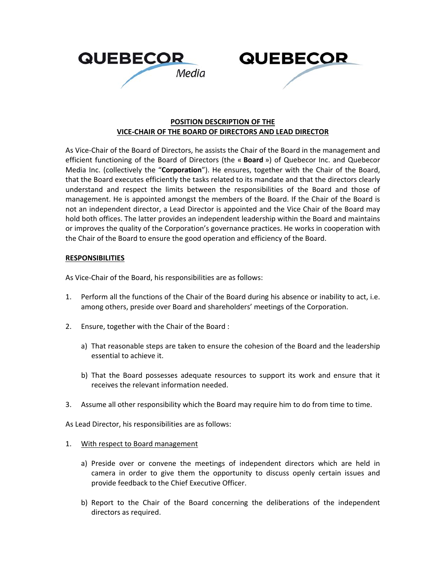



## **POSITION DESCRIPTION OF THE VICE‐CHAIR OF THE BOARD OF DIRECTORS AND LEAD DIRECTOR**

As Vice-Chair of the Board of Directors, he assists the Chair of the Board in the management and efficient functioning of the Board of Directors (the « **Board** ») of Quebecor Inc. and Quebecor Media Inc. (collectively the "**Corporation**"). He ensures, together with the Chair of the Board, that the Board executes efficiently the tasks related to its mandate and that the directors clearly understand and respect the limits between the responsibilities of the Board and those of management. He is appointed amongst the members of the Board. If the Chair of the Board is not an independent director, a Lead Director is appointed and the Vice Chair of the Board may hold both offices. The latter provides an independent leadership within the Board and maintains or improves the quality of the Corporation's governance practices. He works in cooperation with the Chair of the Board to ensure the good operation and efficiency of the Board.

## **RESPONSIBILITIES**

As Vice‐Chair of the Board, his responsibilities are as follows:

- 1. Perform all the functions of the Chair of the Board during his absence or inability to act, i.e. among others, preside over Board and shareholders' meetings of the Corporation.
- 2. Ensure, together with the Chair of the Board :
	- a) That reasonable steps are taken to ensure the cohesion of the Board and the leadership essential to achieve it.
	- b) That the Board possesses adequate resources to support its work and ensure that it receives the relevant information needed.
- 3. Assume all other responsibility which the Board may require him to do from time to time.

As Lead Director, his responsibilities are as follows:

- 1. With respect to Board management
	- a) Preside over or convene the meetings of independent directors which are held in camera in order to give them the opportunity to discuss openly certain issues and provide feedback to the Chief Executive Officer.
	- b) Report to the Chair of the Board concerning the deliberations of the independent directors as required.